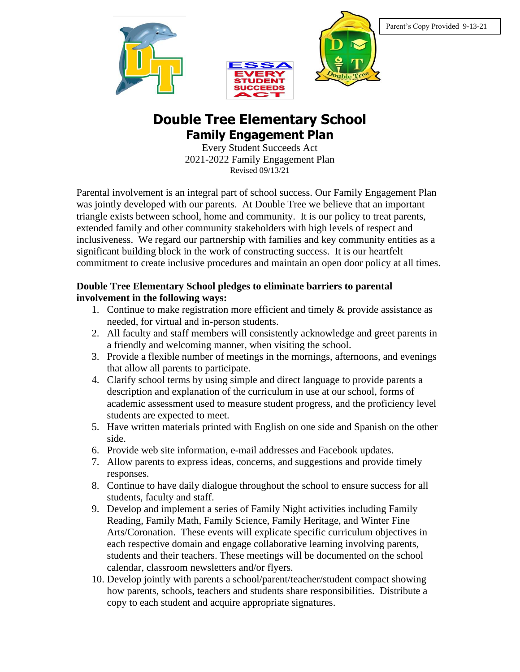





## **Double Tree Elementary School Family Engagement Plan**

Every Student Succeeds Act 2021-2022 Family Engagement Plan Revised 09/13/21

Parental involvement is an integral part of school success. Our Family Engagement Plan was jointly developed with our parents. At Double Tree we believe that an important triangle exists between school, home and community. It is our policy to treat parents, extended family and other community stakeholders with high levels of respect and inclusiveness. We regard our partnership with families and key community entities as a significant building block in the work of constructing success. It is our heartfelt commitment to create inclusive procedures and maintain an open door policy at all times.

## **Double Tree Elementary School pledges to eliminate barriers to parental involvement in the following ways:**

- 1. Continue to make registration more efficient and timely & provide assistance as needed, for virtual and in-person students.
- 2. All faculty and staff members will consistently acknowledge and greet parents in a friendly and welcoming manner, when visiting the school.
- 3. Provide a flexible number of meetings in the mornings, afternoons, and evenings that allow all parents to participate.
- 4. Clarify school terms by using simple and direct language to provide parents a description and explanation of the curriculum in use at our school, forms of academic assessment used to measure student progress, and the proficiency level students are expected to meet.
- 5. Have written materials printed with English on one side and Spanish on the other side.
- 6. Provide web site information, e-mail addresses and Facebook updates.
- 7. Allow parents to express ideas, concerns, and suggestions and provide timely responses.
- 8. Continue to have daily dialogue throughout the school to ensure success for all students, faculty and staff.
- 9. Develop and implement a series of Family Night activities including Family Reading, Family Math, Family Science, Family Heritage, and Winter Fine Arts/Coronation. These events will explicate specific curriculum objectives in each respective domain and engage collaborative learning involving parents, students and their teachers. These meetings will be documented on the school calendar, classroom newsletters and/or flyers.
- 10. Develop jointly with parents a school/parent/teacher/student compact showing how parents, schools, teachers and students share responsibilities. Distribute a copy to each student and acquire appropriate signatures.